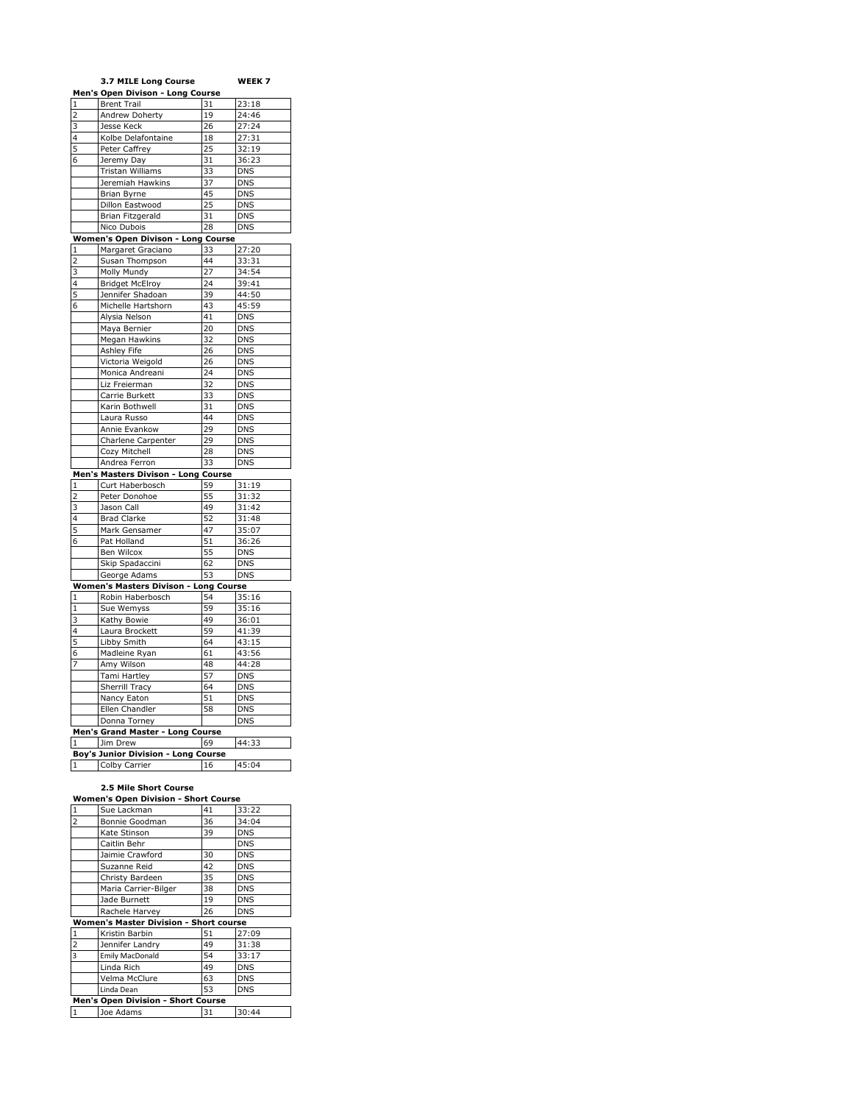|                | 3.7 MILE Long Course                    |                 | WEEK 7                   |
|----------------|-----------------------------------------|-----------------|--------------------------|
|                | <b>Men's Open Divison - Long Course</b> |                 |                          |
| $\mathbf{1}$   | <b>Brent Trail</b>                      | 31              | 23:18                    |
| $\overline{2}$ | Andrew Doherty                          | 19              | 24:46                    |
| 3              | <b>Jesse Keck</b>                       | 26              | 27:24                    |
| 4              | Kolbe Delafontaine                      | 18              | 27:31                    |
| 5              | Peter Caffrey                           | 25              | 32:19                    |
| 6              | Jeremy Day                              | 31              | 36:23                    |
|                | Tristan Williams                        | 33              | <b>DNS</b>               |
|                | Jeremiah Hawkins                        | 37              | <b>DNS</b>               |
|                | Brian Byrne                             | 45              | <b>DNS</b>               |
|                | Dillon Eastwood                         | 25              | <b>DNS</b>               |
|                | Brian Fitzgerald                        | 31              | <b>DNS</b>               |
|                |                                         |                 | <b>DNS</b>               |
|                | Nico Dubois                             | 28              |                          |
|                | Women's Open Divison - Long Course      |                 |                          |
| $\mathbf{1}$   | Margaret Graciano                       | 33              | 27:20                    |
| $\overline{2}$ | Susan Thompson                          | 44              | 33:31                    |
| 3              | Molly Mundy                             | $\overline{27}$ | 34:54                    |
| 4              | <b>Bridget McElroy</b>                  | 24              | 39:41                    |
| 5              | Jennifer Shadoan                        | 39              | 44:50                    |
| 6              | Michelle Hartshorn                      | 43              | 45:59                    |
|                | Alysia Nelson                           | 41              | <b>DNS</b>               |
|                | Maya Bernier                            | 20              | <b>DNS</b>               |
|                | Megan Hawkins                           | 32              | <b>DNS</b>               |
|                | Ashley Fife                             | 26              | <b>DNS</b>               |
|                | Victoria Weigold                        | 26              | <b>DNS</b>               |
|                | Monica Andreani                         | 24              | <b>DNS</b>               |
|                | Liz Freierman                           | 32              | <b>DNS</b>               |
|                | Carrie Burkett                          | 33              | <b>DNS</b>               |
|                | Karin Bothwell                          | 31              | <b>DNS</b>               |
|                | Laura Russo                             | 44              | <b>DNS</b>               |
|                | Annie Evankow                           | 29              | <b>DNS</b>               |
|                | Charlene Carpenter                      | 29              | <b>DNS</b>               |
|                | Cozy Mitchell                           | 28              | <b>DNS</b>               |
|                | Andrea Ferron                           | 33              | <b>DNS</b>               |
|                | Men's Masters Divison - Long Course     |                 |                          |
| $\mathbf{1}$   | Curt Haberbosch                         | 59              | 31:19                    |
| $\overline{2}$ | Peter Donohoe                           | 55              | 31:32                    |
| 3              | Jason Call                              | 49              | 31:42                    |
| 4              | <b>Brad Clarke</b>                      | 52              | 31:48                    |
| 5              | Mark Gensamer                           | 47              | 35:07                    |
| 6              | Pat Holland                             | 51              | 36:26                    |
|                | Ben Wilcox                              | 55              |                          |
|                |                                         | 62              | <b>DNS</b><br><b>DNS</b> |
|                | Skip Spadaccini                         | 53              | <b>DNS</b>               |
|                | George Adams                            |                 |                          |
|                | Women's Masters Divison - Long Course   |                 |                          |
| $\mathbf{1}$   | Robin Haberbosch                        | 54              | 35:16                    |
| $\mathbf{1}$   | Sue Wemyss                              | 59              | 35:16                    |
| 3              | Kathy Bowie                             | 49              | 36:01                    |
| $\overline{4}$ | Laura Brockett                          | 59              | 41:39                    |
| 5              | Libby Smith                             | 64              | 43:15                    |
| 6              | Madleine Ryan                           | 61              | 43:56                    |
| 7              | Amy Wilson                              | 48              | 44:28                    |
|                | Tami Hartley                            | 57              | <b>DNS</b>               |
|                | Sherrill Tracy                          | 64              | <b>DNS</b>               |
|                | Nancy Eaton                             | 51              | <b>DNS</b>               |
|                | Ellen Chandler                          | 58              | <b>DNS</b>               |
|                | Donna Torney                            |                 | <b>DNS</b>               |
|                | Men's Grand Master - Long Course        |                 |                          |
| 1              | Jim Drew                                | 69              | 44:33                    |
|                | Boy's Junior Division - Long Course     |                 |                          |
| $\,1\,$        | Colby Carrier                           | 16              | 45:04                    |

## **2.5 Mile Short Course**

| <b>Women's Open Division - Short Course</b> |                      |    |            |
|---------------------------------------------|----------------------|----|------------|
| $\mathbf{1}$                                | Sue Lackman          | 41 | 33:22      |
| $\overline{2}$                              | Bonnie Goodman       | 36 | 34:04      |
|                                             | Kate Stinson         | 39 | <b>DNS</b> |
|                                             | Caitlin Behr         |    | <b>DNS</b> |
|                                             | Jaimie Crawford      | 30 | <b>DNS</b> |
|                                             | Suzanne Reid         | 42 | <b>DNS</b> |
|                                             | Christy Bardeen      | 35 | <b>DNS</b> |
|                                             | Maria Carrier-Bilger | 38 | <b>DNS</b> |
|                                             | Jade Burnett         | 19 | <b>DNS</b> |
|                                             | Rachele Harvey       | 26 | <b>DNS</b> |
| Women's Master Division - Short course      |                      |    |            |
| 1                                           | Kristin Barbin       | 51 | 27:09      |
| $\overline{2}$                              | Jennifer Landry      | 49 | 31:38      |
| 3                                           | Emily MacDonald      | 54 | 33:17      |
|                                             | Linda Rich           | 49 | <b>DNS</b> |
|                                             | Velma McClure        | 63 | <b>DNS</b> |
|                                             | Linda Dean           | 53 | <b>DNS</b> |
| <b>Men's Open Division - Short Course</b>   |                      |    |            |
| $\vert$ 1                                   | Joe Adams            | 31 | 30:44      |